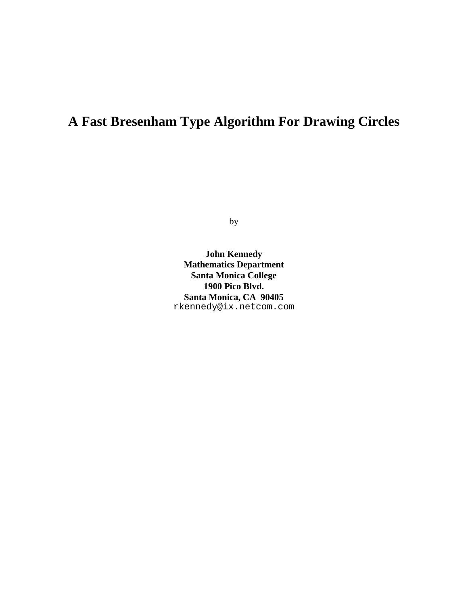## **A Fast Bresenham Type Algorithm For Drawing Circles**

by

**John Kennedy Mathematics Department Santa Monica College 1900 Pico Blvd. Santa Monica, CA 90405** rkennedy@ix.netcom.com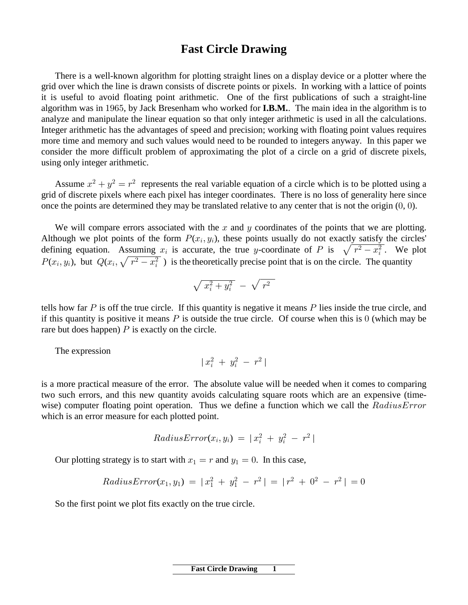## **Fast Circle Drawing**

There is a well-known algorithm for plotting straight lines on a display device or a plotter where the grid over which the line is drawn consists of discrete points or pixels. In working with a lattice of points it is useful to avoid floating point arithmetic. One of the first publications of such a straight-line algorithm was in 1965, by Jack Bresenham who worked for  $I.B.M.$  The main idea in the algorithm is to analyze and manipulate the linear equation so that only integer arithmetic is used in all the calculations. Integer arithmetic has the advantages of speed and precision; working with floating point values requires more time and memory and such values would need to be rounded to integers anyway. In this paper we consider the more difficult problem of approximating the plot of a circle on a grid of discrete pixels, using only integer arithmetic.

Assume  $x^2 + y^2 = r^2$  represents the real variable equation of a circle which is to be plotted using a grid of discrete pixels where each pixel has integer coordinates. There is no loss of generality here since once the points are determined they may be translated relative to any center that is not the origin  $(0, 0)$ .

We will compare errors associated with the  $x$  and  $y$  coordinates of the points that we are plotting. Although we plot points of the form  $P(x_i, y_i)$ , these points usually do not exactly satisfy the circles' defining equation. Assuming  $x_i$  is accurate, the true y-coordinate of P is  $\sqrt{r^2 - x_i^2}$ . We plot  $P(x_i, y_i)$ , but  $Q(x_i, \sqrt{r^2 - x_i^2})$  is the theoretically precise point that is on the circle. The quantity

$$
\sqrt{x_i^2+y_i^2} ~-~ \sqrt{~r^2}
$$

tells how far  $P$  is off the true circle. If this quantity is negative it means  $P$  lies inside the true circle, and if this quantity is positive it means  $P$  is outside the true circle. Of course when this is  $\theta$  (which may be rare but does happen)  $P$  is exactly on the circle.

The expression

$$
\mid x_i^2 \; + \; y_i^2 \; - \; r^2 \mid
$$

is a more practical measure of the error. The absolute value will be needed when it comes to comparing two such errors, and this new quantity avoids calculating square roots which are an expensive (timewise) computer floating point operation. Thus we define a function which we call the  $RadiusError$ which is an error measure for each plotted point.

$$
RadiusError(x_i, y_i) = |x_i^2 + y_i^2 - r^2|
$$

Our plotting strategy is to start with  $x_1 = r$  and  $y_1 = 0$ . In this case,

RadiusError
$$
(x_1, y_1) = |x_1^2 + y_1^2 - r^2| = |r^2 + 0^2 - r^2| = 0
$$

So the first point we plot fits exactly on the true circle.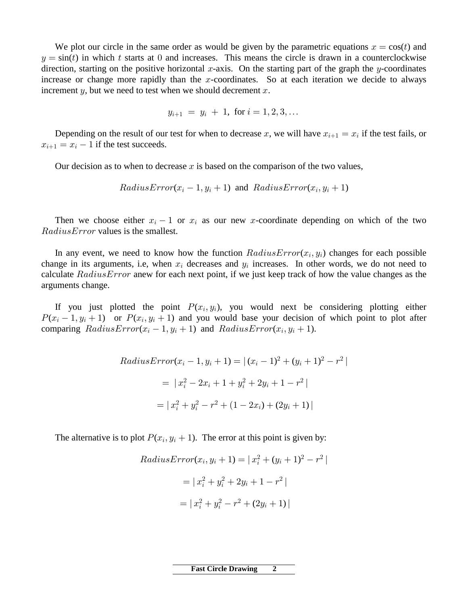We plot our circle in the same order as would be given by the parametric equations  $x = cos(t)$  and  $y = \sin(t)$  in which t starts at 0 and increases. This means the circle is drawn in a counterclockwise direction, starting on the positive horizontal x-axis. On the starting part of the graph the y-coordinates increase or change more rapidly than the  $x$ -coordinates. So at each iteration we decide to always increment  $y$ , but we need to test when we should decrement  $x$ .

$$
y_{i+1} = y_i + 1, \text{ for } i = 1, 2, 3, \dots
$$

Depending on the result of our test for when to decrease x, we will have  $x_{i+1} = x_i$  if the test fails, or  $x_{i+1} = x_i - 1$  if the test succeeds.

Our decision as to when to decrease x is based on the comparison of the two values,

 $RadiusError(x_i - 1, y_i + 1)$  and  $RadiusError(x_i, y_i + 1)$ 

Then we choose either  $x_i - 1$  or  $x_i$  as our new x-coordinate depending on which of the two  $RadiusError$  values is the smallest.

In any event, we need to know how the function  $RadiusError(x_i, y_i)$  changes for each possible change in its arguments, i.e, when  $x_i$  decreases and  $y_i$  increases. In other words, we do not need to calculate  $RadiusError$  anew for each next point, if we just keep track of how the value changes as the arguments change.

If you just plotted the point  $P(x_i, y_i)$ , you would next be considering plotting either  $P(x_i-1, y_i+1)$  or  $P(x_i, y_i+1)$  and you would base your decision of which point to plot after comparing  $RadiusError(x_i - 1, y_i + 1)$  and  $RadiusError(x_i, y_i + 1)$ .

RadiusError
$$
(x_i - 1, y_i + 1) = |(x_i - 1)^2 + (y_i + 1)^2 - r^2|
$$
  
=  $|x_i^2 - 2x_i + 1 + y_i^2 + 2y_i + 1 - r^2|$   
=  $|x_i^2 + y_i^2 - r^2 + (1 - 2x_i) + (2y_i + 1)|$ 

The alternative is to plot  $P(x_i, y_i + 1)$ . The error at this point is given by:

Radius
$$
Error(x_i, y_i + 1) = |x_i^2 + (y_i + 1)^2 - r^2|
$$

$$
= |x_i^2 + y_i^2 + 2y_i + 1 - r^2|
$$

$$
= |x_i^2 + y_i^2 - r^2 + (2y_i + 1)|
$$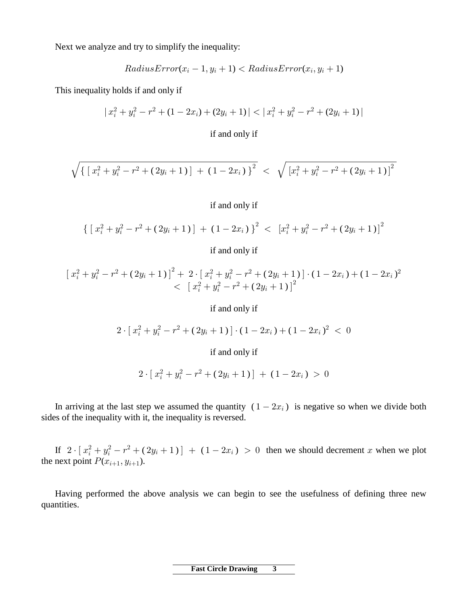Next we analyze and try to simplify the inequality:

$$
RadiusError(x_i-1, y_i+1) < RadiusError(x_i, y_i+1)
$$

This inequality holds if and only if

$$
|x_i^2 + y_i^2 - r^2 + (1 - 2x_i) + (2y_i + 1)| < |x_i^2 + y_i^2 - r^2 + (2y_i + 1)|
$$

if and only if

$$
\sqrt{\left\{\,\left[\,x_i^2 + y_i^2 - r^2 + (\,2 y_i + 1\,)\,\right] \,+\, (\,1 - 2 x_i\,)\,\right\}^2} \,\,<\,\, \sqrt{\,\left[x_i^2 + y_i^2 - r^2 + (\,2 y_i + 1\,)\,\right]^2}
$$

## if and only if

$$
\left\{ \left[ \, x_i^2 + y_i^2 - r^2 + (2y_i + 1) \, \right] \, + \, (1 - 2x_i) \, \right\}^2 < \left[ \, x_i^2 + y_i^2 - r^2 + (2y_i + 1) \, \right]^2
$$

if and only if

$$
\begin{aligned} \left[ \; x_i^2 + y_i^2 - r^2 + (2y_i + 1) \; \right]^2 + \; & 2 \cdot \left[ \; x_i^2 + y_i^2 - r^2 + (2y_i + 1) \; \right] \cdot (1 - 2x_i) + (1 - 2x_i)^2 \\ &< \; \left[ \; x_i^2 + y_i^2 - r^2 + (2y_i + 1) \; \right]^2 \end{aligned}
$$

if and only if

$$
2\cdot [\ x_i^2 + y_i^2 - r^2 + (2y_i + 1)]\cdot (1-2x_i) + (1-2x_i)^2\ <\ 0
$$

if and only if

$$
2\cdot [x_i^2+y_i^2-r^2+(2y_i+1)]+(1-2x_i)>0
$$

In arriving at the last step we assumed the quantity  $(1 - 2x_i)$  is negative so when we divide both sides of the inequality with it, the inequality is reversed.

If  $2 \cdot [x_i^2 + y_i^2 - r^2 + (2y_i + 1)] + (1 - 2x_i) > 0$  then we should decrement x when we plot the next point  $P(x_{i+1}, y_{i+1})$ .

Having performed the above analysis we can begin to see the usefulness of defining three new quantities.

> **Fast Circle Drawing**  $\overline{\mathbf{3}}$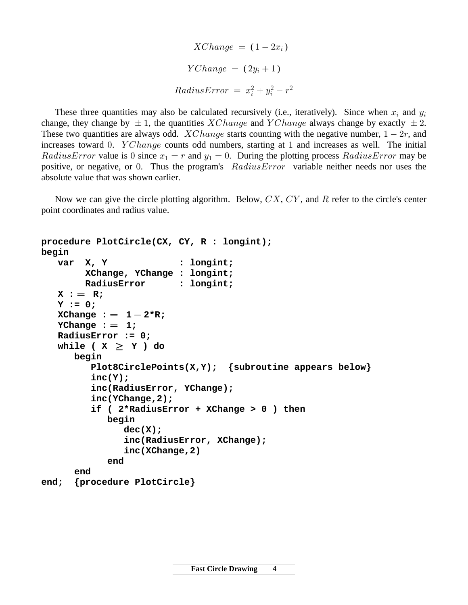$XChange = (1 - 2x_i)$  $YChange = (2y_i + 1)$  $RadiusError = x_i^2 + y_i^2 - r^2$ 

These three quantities may also be calculated recursively (i.e., iteratively). Since when  $x_i$  and  $y_i$ change, they change by  $\pm 1$ , the quantities XChange and YChange always change by exactly  $\pm 2$ . These two quantities are always odd. *XChange* starts counting with the negative number,  $1 - 2r$ , and increases toward 0.  $YChange$  counts odd numbers, starting at 1 and increases as well. The initial *RadiusError* value is 0 since  $x_1 = r$  and  $y_1 = 0$ . During the plotting process *RadiusError* may be positive, or negative, or 0. Thus the program's  $RadiusError$  variable neither needs nor uses the absolute value that was shown earlier.

Now we can give the circle plotting algorithm. Below,  $CX, CY$ , and R refer to the circle's center point coordinates and radius value.

```
procedure PlotCircle(CX, CY, R : longint);
begin
    var X, Y : longint;
         XChange, YChange : longint;
         RadiusError : longint;
   X := R; Y := 0;
   \text{XChange} := 1 - 2 \cdot R; YChange := 1; RadiusError := 0;
   while (X \geq Y) do
       begin
          Plot8CirclePoints(X,Y); {subroutine appears below}
          inc(Y);
          inc(RadiusError, YChange);
          inc(YChange,2);
          if ( 2*RadiusError + XChange > 0 ) then
             begin
                dec(X);
                inc(RadiusError, XChange);
                inc(XChange,2)
             end
       end
```
**end; {procedure PlotCircle}**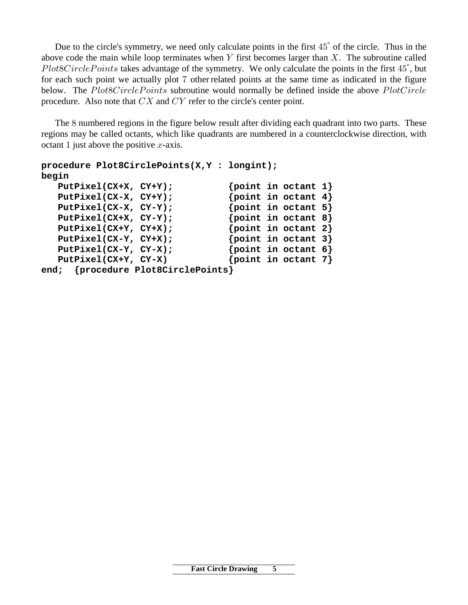Due to the circle's symmetry, we need only calculate points in the first  $45^{\circ}$  of the circle. Thus in the above code the main while loop terminates when  $Y$  first becomes larger than  $X$ . The subroutine called  $Plot 8Circle Points$  takes advantage of the symmetry. We only calculate the points in the first  $45^{\degree}$ , but for each such point we actually plot 7 other related points at the same time as indicated in the figure below. The  $PlotsCirclePoints$  subroutine would normally be defined inside the above  $PlotCircle$ procedure. Also note that  $CX$  and  $CY$  refer to the circle's center point.

The 8 numbered regions in the figure below result after dividing each quadrant into two parts. These regions may be called octants, which like quadrants are numbered in a counterclockwise direction, with octant 1 just above the positive  $x$ -axis.

```
procedure Plot8CirclePoints(X,Y : longint);
begin
   PutPixel(CX+X, CY+Y); {point in octant 1}
  PutPixel(CX-X, CY+Y); {point in octant 4}
  PutPixel(CX-X, CY-Y); {point in octant 5}
  PutPixel(CX+X, CY-Y); {point in octant 8}
   PutPixel(CX+Y, CY+X); {point in octant 2}
  PutPixel(CX-Y, CY+X); {point in octant 3}
  PutPixel(CX-Y, CY-X); {point in octant 6}
  PutPixel(CX+Y, CY-X) {point in octant 7}
end; {procedure Plot8CirclePoints}
```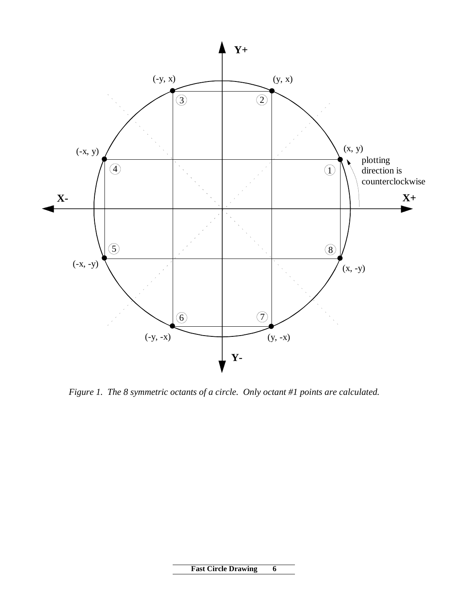

 *Figure 1. The 8 symmetric octants of a circle. Only octant #1 points are calculated.*